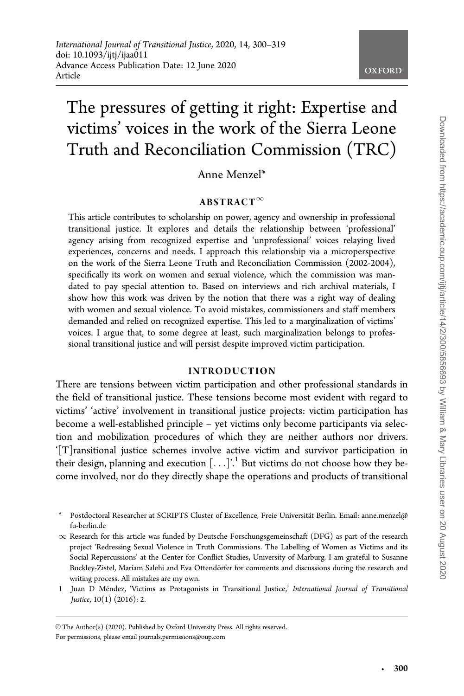# The pressures of getting it right: Expertise and victims' voices in the work of the Sierra Leone Truth and Reconciliation Commission (TRC)

Anne Menzel\*

## $ABSTRACT^{\infty}$

This article contributes to scholarship on power, agency and ownership in professional transitional justice. It explores and details the relationship between 'professional' agency arising from recognized expertise and 'unprofessional' voices relaying lived experiences, concerns and needs. I approach this relationship via a microperspective on the work of the Sierra Leone Truth and Reconciliation Commission (2002-2004), specifically its work on women and sexual violence, which the commission was mandated to pay special attention to. Based on interviews and rich archival materials, I show how this work was driven by the notion that there was a right way of dealing with women and sexual violence. To avoid mistakes, commissioners and staff members demanded and relied on recognized expertise. This led to a marginalization of victims' voices. I argue that, to some degree at least, such marginalization belongs to professional transitional justice and will persist despite improved victim participation.

#### INTRODUCTION

There are tensions between victim participation and other professional standards in the field of transitional justice. These tensions become most evident with regard to victims' 'active' involvement in transitional justice projects: victim participation has become a well-established principle – yet victims only become participants via selection and mobilization procedures of which they are neither authors nor drivers. '[T]ransitional justice schemes involve active victim and survivor participation in their design, planning and execution  $[\ldots]^1$ . But victims do not choose how they become involved, nor do they directly shape the operations and products of transitional

Postdoctoral Researcher at SCRIPTS Cluster of Excellence, Freie Universität Berlin. Email: anne.menzel@ fu-berlin.de

- $\infty$  Research for this article was funded by Deutsche Forschungsgemeinschaft (DFG) as part of the research project 'Redressing Sexual Violence in Truth Commissions. The Labelling of Women as Victims and its Social Repercussions' at the Center for Conflict Studies, University of Marburg. I am grateful to Susanne Buckley-Zistel, Mariam Salehi and Eva Ottendörfer for comments and discussions during the research and writing process. All mistakes are my own.
- 1 Juan D Méndez, 'Victims as Protagonists in Transitional Justice,' International Journal of Transitional Justice, 10(1) (2016): 2.

 $\odot$  The Author(s) (2020). Published by Oxford University Press. All rights reserved.

-

For permissions, please email journals.permissions@oup.com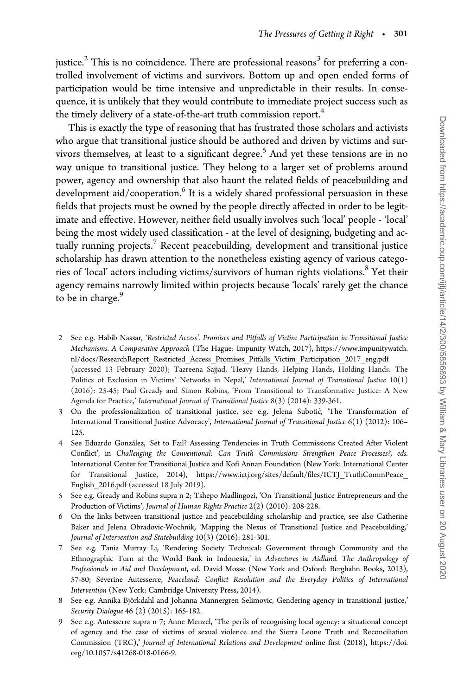justice.<sup>2</sup> This is no coincidence. There are professional reasons<sup>3</sup> for preferring a controlled involvement of victims and survivors. Bottom up and open ended forms of participation would be time intensive and unpredictable in their results. In consequence, it is unlikely that they would contribute to immediate project success such as the timely delivery of a state-of-the-art truth commission report.<sup>4</sup>

This is exactly the type of reasoning that has frustrated those scholars and activists who argue that transitional justice should be authored and driven by victims and survivors themselves, at least to a significant degree.<sup>5</sup> And yet these tensions are in no way unique to transitional justice. They belong to a larger set of problems around power, agency and ownership that also haunt the related fields of peacebuilding and development aid/cooperation. $6$  It is a widely shared professional persuasion in these fields that projects must be owned by the people directly affected in order to be legitimate and effective. However, neither field usually involves such 'local' people - 'local' being the most widely used classification - at the level of designing, budgeting and actually running projects.<sup>7</sup> Recent peacebuilding, development and transitional justice scholarship has drawn attention to the nonetheless existing agency of various categories of 'local' actors including victims/survivors of human rights violations.<sup>8</sup> Yet their agency remains narrowly limited within projects because 'locals' rarely get the chance to be in charge.<sup>9</sup>

- 2 See e.g. Habib Nassar, 'Restricted Access'. Promises and Pitfalls of Victim Participation in Transitional Justice Mechanisms. A Comparative Approach (The Hague: Impunity Watch, 2017), [https://www.impunitywatch.](https://www.impunitywatch.nl/docs/ResearchReport_Restricted_Access_Promises_Pitfalls_Victim_Participation_2017_eng.pdf) [nl/docs/ResearchReport\\_Restricted\\_Access\\_Promises\\_Pitfalls\\_Victim\\_Participation\\_2017\\_eng.pdf](https://www.impunitywatch.nl/docs/ResearchReport_Restricted_Access_Promises_Pitfalls_Victim_Participation_2017_eng.pdf) (accessed 13 February 2020); Tazreena Sajjad, 'Heavy Hands, Helping Hands, Holding Hands: The Politics of Exclusion in Victims' Networks in Nepal,' International Journal of Transitional Justice 10(1) (2016): 25-45; Paul Gready and Simon Robins, 'From Transitional to Transformative Justice: A New Agenda for Practice,' International Journal of Transitional Justice 8(3) (2014): 339-361.
- 3 On the professionalization of transitional justice, see e.g. Jelena Subotić, 'The Transformation of International Transitional Justice Advocacy', International Journal of Transitional Justice 6(1) (2012): 106– 125.
- See Eduardo González, 'Set to Fail? Assessing Tendencies in Truth Commissions Created After Violent Conflict', in Challenging the Conventional: Can Truth Commissions Strengthen Peace Processes?, eds. International Center for Transitional Justice and Kofi Annan Foundation (New York: International Center for Transitional Justice, 2014), [https://www.ictj.org/sites/default/files/ICTJ\\_TruthCommPeace\\_](https://www.ictj.org/sites/default/files/ICTJ_TruthCommPeace_English_2016.pdf) English 2016.pdf (accessed 18 July 2019).
- 5 See e.g. Gready and Robins supra n 2; Tshepo Madlingozi, 'On Transitional Justice Entrepreneurs and the Production of Victims', Journal of Human Rights Practice 2(2) (2010): 208-228.
- 6 On the links between transitional justice and peacebuilding scholarship and practice, see also Catherine Baker and Jelena Obradovic-Wochnik, 'Mapping the Nexus of Transitional Justice and Peacebuilding,' Journal of Intervention and Statebuilding 10(3) (2016): 281-301.
- 7 See e.g. Tania Murray Li, 'Rendering Society Technical: Government through Community and the Ethnographic Turn at the World Bank in Indonesia,' in Adventures in Aidland. The Anthropology of Professionals in Aid and Development, ed. David Mosse (New York and Oxford: Berghahn Books, 2013), 57-80; Séverine Autesserre, Peaceland: Conflict Resolution and the Everyday Politics of International Intervention (New York: Cambridge University Press, 2014).
- 8 See e.g. Annika Björkdahl and Johanna Mannergren Selimovic, Gendering agency in transitional justice,' Security Dialogue 46 (2) (2015): 165-182.
- 9 See e.g. Autesserre supra n 7; Anne Menzel, 'The perils of recognising local agency: a situational concept of agency and the case of victims of sexual violence and the Sierra Leone Truth and Reconciliation Commission (TRC),' Journal of International Relations and Development online first (2018), [https://doi.](https://doi.org/10.1057/s41268-018-0166-9) [org/10.1057/s41268-018-0166-9.](https://doi.org/10.1057/s41268-018-0166-9)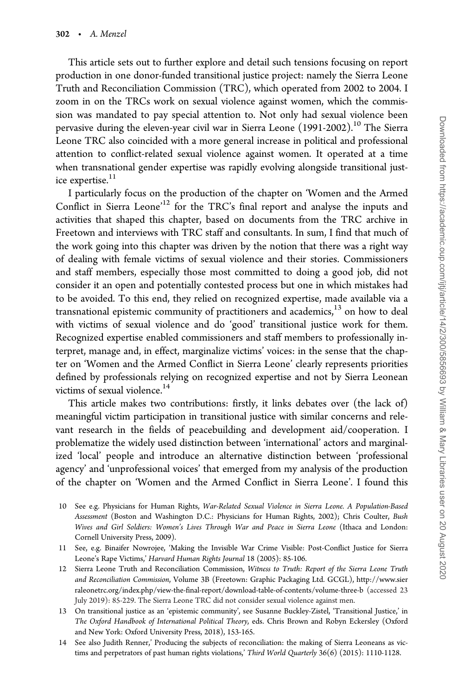This article sets out to further explore and detail such tensions focusing on report production in one donor-funded transitional justice project: namely the Sierra Leone Truth and Reconciliation Commission (TRC), which operated from 2002 to 2004. I zoom in on the TRCs work on sexual violence against women, which the commission was mandated to pay special attention to. Not only had sexual violence been pervasive during the eleven-year civil war in Sierra Leone (1991-2002).<sup>10</sup> The Sierra Leone TRC also coincided with a more general increase in political and professional attention to conflict-related sexual violence against women. It operated at a time when transnational gender expertise was rapidly evolving alongside transitional justice expertise.<sup>11</sup>

I particularly focus on the production of the chapter on 'Women and the Armed Conflict in Sierra Leone<sup>12</sup> for the TRC's final report and analyse the inputs and activities that shaped this chapter, based on documents from the TRC archive in Freetown and interviews with TRC staff and consultants. In sum, I find that much of the work going into this chapter was driven by the notion that there was a right way of dealing with female victims of sexual violence and their stories. Commissioners and staff members, especially those most committed to doing a good job, did not consider it an open and potentially contested process but one in which mistakes had to be avoided. To this end, they relied on recognized expertise, made available via a transnational epistemic community of practitioners and academics,<sup>13</sup> on how to deal with victims of sexual violence and do 'good' transitional justice work for them. Recognized expertise enabled commissioners and staff members to professionally interpret, manage and, in effect, marginalize victims' voices: in the sense that the chapter on 'Women and the Armed Conflict in Sierra Leone' clearly represents priorities defined by professionals relying on recognized expertise and not by Sierra Leonean victims of sexual violence.<sup>14</sup>

This article makes two contributions: firstly, it links debates over (the lack of) meaningful victim participation in transitional justice with similar concerns and relevant research in the fields of peacebuilding and development aid/cooperation. I problematize the widely used distinction between 'international' actors and marginalized 'local' people and introduce an alternative distinction between 'professional agency' and 'unprofessional voices' that emerged from my analysis of the production of the chapter on 'Women and the Armed Conflict in Sierra Leone'. I found this

- 10 See e.g. Physicians for Human Rights, War-Related Sexual Violence in Sierra Leone. A Population-Based Assessment (Boston and Washington D.C.: Physicians for Human Rights, 2002); Chris Coulter, Bush Wives and Girl Soldiers: Women's Lives Through War and Peace in Sierra Leone (Ithaca and London: Cornell University Press, 2009).
- 11 See, e.g. Binaifer Nowrojee, 'Making the Invisible War Crime Visible: Post-Conflict Justice for Sierra Leone's Rape Victims,' Harvard Human Rights Journal 18 (2005): 85-106.
- 12 Sierra Leone Truth and Reconciliation Commission, Witness to Truth: Report of the Sierra Leone Truth and Reconciliation Commission, Volume 3B (Freetown: Graphic Packaging Ltd. GCGL), [http://www.sier](http://www.sierraleonetrc.org/index.php/view-the-final-report/download-table-of-contents/volume-three-b) [raleonetrc.org/index.php/view-the-final-report/download-table-of-contents/volume-three-b](http://www.sierraleonetrc.org/index.php/view-the-final-report/download-table-of-contents/volume-three-b) (accessed 23 July 2019): 85-229. The Sierra Leone TRC did not consider sexual violence against men.
- 13 On transitional justice as an 'epistemic community', see Susanne Buckley-Zistel, 'Transitional Justice,' in The Oxford Handbook of International Political Theory, eds. Chris Brown and Robyn Eckersley (Oxford and New York: Oxford University Press, 2018), 153-165.
- 14 See also Judith Renner,' Producing the subjects of reconciliation: the making of Sierra Leoneans as victims and perpetrators of past human rights violations,' Third World Quarterly 36(6) (2015): 1110-1128.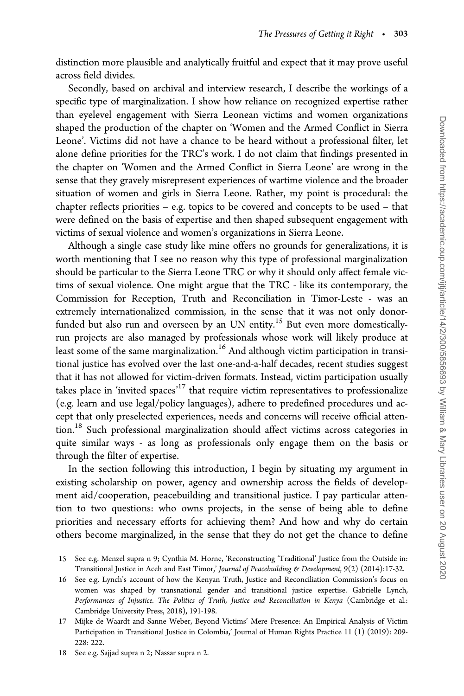distinction more plausible and analytically fruitful and expect that it may prove useful across field divides.

Secondly, based on archival and interview research, I describe the workings of a specific type of marginalization. I show how reliance on recognized expertise rather than eyelevel engagement with Sierra Leonean victims and women organizations shaped the production of the chapter on 'Women and the Armed Conflict in Sierra Leone'. Victims did not have a chance to be heard without a professional filter, let alone define priorities for the TRC's work. I do not claim that findings presented in the chapter on 'Women and the Armed Conflict in Sierra Leone' are wrong in the sense that they gravely misrepresent experiences of wartime violence and the broader situation of women and girls in Sierra Leone. Rather, my point is procedural: the chapter reflects priorities – e.g. topics to be covered and concepts to be used – that were defined on the basis of expertise and then shaped subsequent engagement with victims of sexual violence and women's organizations in Sierra Leone.

Although a single case study like mine offers no grounds for generalizations, it is worth mentioning that I see no reason why this type of professional marginalization should be particular to the Sierra Leone TRC or why it should only affect female victims of sexual violence. One might argue that the TRC - like its contemporary, the Commission for Reception, Truth and Reconciliation in Timor-Leste - was an extremely internationalized commission, in the sense that it was not only donorfunded but also run and overseen by an UN entity.<sup>15</sup> But even more domesticallyrun projects are also managed by professionals whose work will likely produce at least some of the same marginalization.<sup>16</sup> And although victim participation in transitional justice has evolved over the last one-and-a-half decades, recent studies suggest that it has not allowed for victim-driven formats. Instead, victim participation usually takes place in 'invited spaces'<sup>17</sup> that require victim representatives to professionalize (e.g. learn and use legal/policy languages), adhere to predefined procedures und accept that only preselected experiences, needs and concerns will receive official attention.<sup>18</sup> Such professional marginalization should affect victims across categories in quite similar ways - as long as professionals only engage them on the basis or through the filter of expertise.

In the section following this introduction, I begin by situating my argument in existing scholarship on power, agency and ownership across the fields of development aid/cooperation, peacebuilding and transitional justice. I pay particular attention to two questions: who owns projects, in the sense of being able to define priorities and necessary efforts for achieving them? And how and why do certain others become marginalized, in the sense that they do not get the chance to define

<sup>15</sup> See e.g. Menzel supra n 9; Cynthia M. Horne, 'Reconstructing 'Traditional' Justice from the Outside in: Transitional Justice in Aceh and East Timor,' Journal of Peacebuilding & Development, 9(2) (2014):17-32.

<sup>16</sup> See e.g. Lynch's account of how the Kenyan Truth, Justice and Reconciliation Commission's focus on women was shaped by transnational gender and transitional justice expertise. Gabrielle Lynch, Performances of Injustice. The Politics of Truth, Justice and Reconciliation in Kenya (Cambridge et al.: Cambridge University Press, 2018), 191-198.

<sup>17</sup> Mijke de Waardt and Sanne Weber, Beyond Victims' Mere Presence: An Empirical Analysis of Victim Participation in Transitional Justice in Colombia,' Journal of Human Rights Practice 11 (1) (2019): 209- 228: 222.

<sup>18</sup> See e.g. Sajjad supra n 2; Nassar supra n 2.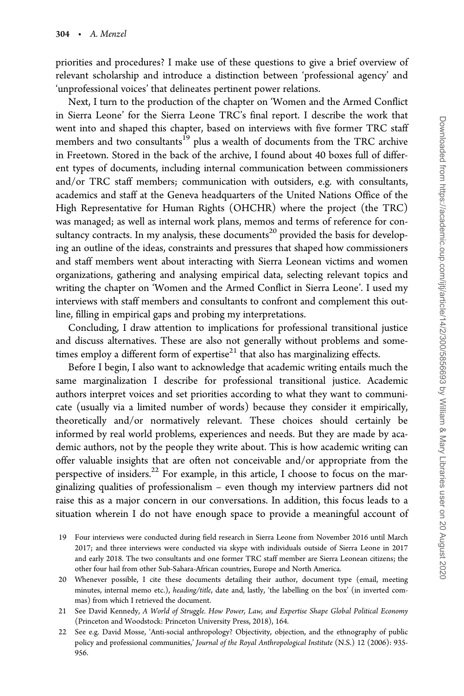priorities and procedures? I make use of these questions to give a brief overview of relevant scholarship and introduce a distinction between 'professional agency' and 'unprofessional voices' that delineates pertinent power relations.

Next, I turn to the production of the chapter on 'Women and the Armed Conflict in Sierra Leone' for the Sierra Leone TRC's final report. I describe the work that went into and shaped this chapter, based on interviews with five former TRC staff members and two consultants<sup>19</sup> plus a wealth of documents from the TRC archive in Freetown. Stored in the back of the archive, I found about 40 boxes full of different types of documents, including internal communication between commissioners and/or TRC staff members; communication with outsiders, e.g. with consultants, academics and staff at the Geneva headquarters of the United Nations Office of the High Representative for Human Rights (OHCHR) where the project (the TRC) was managed; as well as internal work plans, memos and terms of reference for consultancy contracts. In my analysis, these documents<sup>20</sup> provided the basis for developing an outline of the ideas, constraints and pressures that shaped how commissioners and staff members went about interacting with Sierra Leonean victims and women organizations, gathering and analysing empirical data, selecting relevant topics and writing the chapter on 'Women and the Armed Conflict in Sierra Leone'. I used my interviews with staff members and consultants to confront and complement this outline, filling in empirical gaps and probing my interpretations.

Concluding, I draw attention to implications for professional transitional justice and discuss alternatives. These are also not generally without problems and sometimes employ a different form of expertise $^{21}$  that also has marginalizing effects.

Before I begin, I also want to acknowledge that academic writing entails much the same marginalization I describe for professional transitional justice. Academic authors interpret voices and set priorities according to what they want to communicate (usually via a limited number of words) because they consider it empirically, theoretically and/or normatively relevant. These choices should certainly be informed by real world problems, experiences and needs. But they are made by academic authors, not by the people they write about. This is how academic writing can offer valuable insights that are often not conceivable and/or appropriate from the perspective of insiders. $^{22}$  For example, in this article, I choose to focus on the marginalizing qualities of professionalism – even though my interview partners did not raise this as a major concern in our conversations. In addition, this focus leads to a situation wherein I do not have enough space to provide a meaningful account of

<sup>19</sup> Four interviews were conducted during field research in Sierra Leone from November 2016 until March 2017; and three interviews were conducted via skype with individuals outside of Sierra Leone in 2017 and early 2018. The two consultants and one former TRC staff member are Sierra Leonean citizens; the other four hail from other Sub-Sahara-African countries, Europe and North America.

<sup>20</sup> Whenever possible, I cite these documents detailing their author, document type (email, meeting minutes, internal memo etc.), heading/title, date and, lastly, 'the labelling on the box' (in inverted commas) from which I retrieved the document.

<sup>21</sup> See David Kennedy, A World of Struggle. How Power, Law, and Expertise Shape Global Political Economy (Princeton and Woodstock: Princeton University Press, 2018), 164.

<sup>22</sup> See e.g. David Mosse, 'Anti-social anthropology? Objectivity, objection, and the ethnography of public policy and professional communities,' Journal of the Royal Anthropological Institute (N.S.) 12 (2006): 935-956.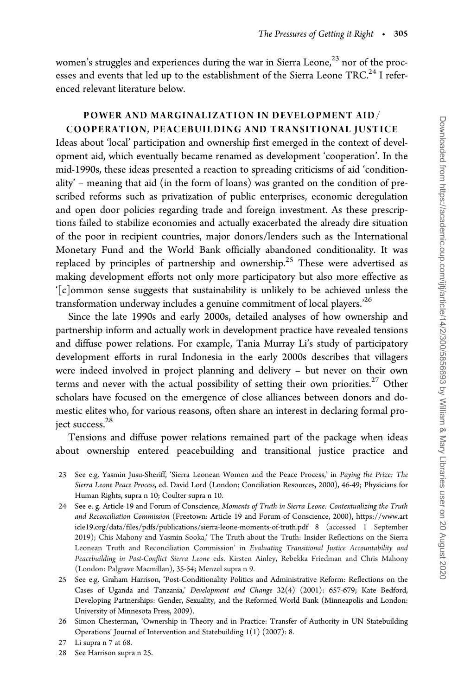women's struggles and experiences during the war in Sierra Leone, $^{23}$  nor of the processes and events that led up to the establishment of the Sierra Leone TRC.<sup>24</sup> I referenced relevant literature below.

## POWER AND MARGINALIZATION IN DEVELOPMENT AID/ COOPERATION, PEACEBUILDING AND TRANSITIONAL JUSTICE

Ideas about 'local' participation and ownership first emerged in the context of development aid, which eventually became renamed as development 'cooperation'. In the mid-1990s, these ideas presented a reaction to spreading criticisms of aid 'conditionality' – meaning that aid (in the form of loans) was granted on the condition of prescribed reforms such as privatization of public enterprises, economic deregulation and open door policies regarding trade and foreign investment. As these prescriptions failed to stabilize economies and actually exacerbated the already dire situation of the poor in recipient countries, major donors/lenders such as the International Monetary Fund and the World Bank officially abandoned conditionality. It was replaced by principles of partnership and ownership.<sup>25</sup> These were advertised as making development efforts not only more participatory but also more effective as '[c]ommon sense suggests that sustainability is unlikely to be achieved unless the transformation underway includes a genuine commitment of local players.<sup>26</sup>

Since the late 1990s and early 2000s, detailed analyses of how ownership and partnership inform and actually work in development practice have revealed tensions and diffuse power relations. For example, Tania Murray Li's study of participatory development efforts in rural Indonesia in the early 2000s describes that villagers were indeed involved in project planning and delivery – but never on their own terms and never with the actual possibility of setting their own priorities.<sup>27</sup> Other scholars have focused on the emergence of close alliances between donors and domestic elites who, for various reasons, often share an interest in declaring formal project success.<sup>28</sup>

Tensions and diffuse power relations remained part of the package when ideas about ownership entered peacebuilding and transitional justice practice and

- 23 See e.g. Yasmin Jusu-Sheriff, 'Sierra Leonean Women and the Peace Process,' in Paying the Prize: The Sierra Leone Peace Process, ed. David Lord (London: Conciliation Resources, 2000), 46-49; Physicians for Human Rights, supra n 10; Coulter supra n 10.
- 24 See e. g. Article 19 and Forum of Conscience, Moments of Truth in Sierra Leone: Contextualizing the Truth and Reconciliation Commission (Freetown: Article 19 and Forum of Conscience, 2000), [https://www.art](https://www.article19.org/data/files/pdfs/publications/sierra-leone-moments-of-truth.pdf 8) [icle19.org/data/files/pdfs/publications/sierra-leone-moments-of-truth.pdf 8](https://www.article19.org/data/files/pdfs/publications/sierra-leone-moments-of-truth.pdf 8) (accessed 1 September 2019); Chis Mahony and Yasmin Sooka,' The Truth about the Truth: Insider Reflections on the Sierra Leonean Truth and Reconciliation Commission' in Evaluating Transitional Justice Accountability and Peacebuilding in Post-Conflict Sierra Leone eds. Kirsten Ainley, Rebekka Friedman and Chris Mahony (London: Palgrave Macmillan), 35-54; Menzel supra n 9.
- 25 See e.g. Graham Harrison, 'Post-Conditionality Politics and Administrative Reform: Reflections on the Cases of Uganda and Tanzania,' Development and Change 32(4) (2001): 657-679; Kate Bedford, Developing Partnerships: Gender, Sexuality, and the Reformed World Bank (Minneapolis and London: University of Minnesota Press, 2009).
- 26 Simon Chesterman, 'Ownership in Theory and in Practice: Transfer of Authority in UN Statebuilding Operations' Journal of Intervention and Statebuilding 1(1) (2007): 8.
- 27 Li supra n 7 at 68.
- 28 See Harrison supra n 25.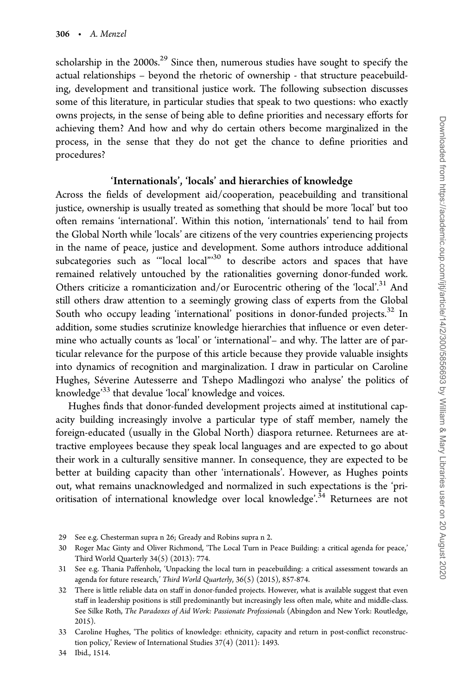scholarship in the  $2000s$ <sup>29</sup> Since then, numerous studies have sought to specify the actual relationships – beyond the rhetoric of ownership - that structure peacebuilding, development and transitional justice work. The following subsection discusses some of this literature, in particular studies that speak to two questions: who exactly owns projects, in the sense of being able to define priorities and necessary efforts for achieving them? And how and why do certain others become marginalized in the process, in the sense that they do not get the chance to define priorities and procedures?

## 'Internationals', 'locals' and hierarchies of knowledge

Across the fields of development aid/cooperation, peacebuilding and transitional justice, ownership is usually treated as something that should be more 'local' but too often remains 'international'. Within this notion, 'internationals' tend to hail from the Global North while 'locals' are citizens of the very countries experiencing projects in the name of peace, justice and development. Some authors introduce additional subcategories such as "local local"<sup>30</sup> to describe actors and spaces that have remained relatively untouched by the rationalities governing donor-funded work. Others criticize a romanticization and/or Eurocentric othering of the 'local'.<sup>31</sup> And still others draw attention to a seemingly growing class of experts from the Global South who occupy leading 'international' positions in donor-funded projects.<sup>32</sup> In addition, some studies scrutinize knowledge hierarchies that influence or even determine who actually counts as 'local' or 'international'– and why. The latter are of particular relevance for the purpose of this article because they provide valuable insights into dynamics of recognition and marginalization. I draw in particular on Caroline Hughes, Séverine Autesserre and Tshepo Madlingozi who analyse' the politics of knowledge<sup>33</sup> that devalue 'local' knowledge and voices.

Hughes finds that donor-funded development projects aimed at institutional capacity building increasingly involve a particular type of staff member, namely the foreign-educated (usually in the Global North) diaspora returnee. Returnees are attractive employees because they speak local languages and are expected to go about their work in a culturally sensitive manner. In consequence, they are expected to be better at building capacity than other 'internationals'. However, as Hughes points out, what remains unacknowledged and normalized in such expectations is the 'prioritisation of international knowledge over local knowledge'.<sup>34</sup> Returnees are not

<sup>29</sup> See e.g. Chesterman supra n 26; Gready and Robins supra n 2.

<sup>30</sup> Roger Mac Ginty and Oliver Richmond, 'The Local Turn in Peace Building: a critical agenda for peace,' Third World Quarterly 34(5) (2013): 774.

<sup>31</sup> See e.g. Thania Paffenholz, 'Unpacking the local turn in peacebuilding: a critical assessment towards an agenda for future research,' Third World Quarterly, 36(5) (2015), 857-874.

<sup>32</sup> There is little reliable data on staff in donor-funded projects. However, what is available suggest that even staff in leadership positions is still predominantly but increasingly less often male, white and middle-class. See Silke Roth, The Paradoxes of Aid Work: Passionate Professionals (Abingdon and New York: Routledge, 2015).

<sup>33</sup> Caroline Hughes, 'The politics of knowledge: ethnicity, capacity and return in post-conflict reconstruction policy,' Review of International Studies 37(4) (2011): 1493.

<sup>34</sup> Ibid., 1514.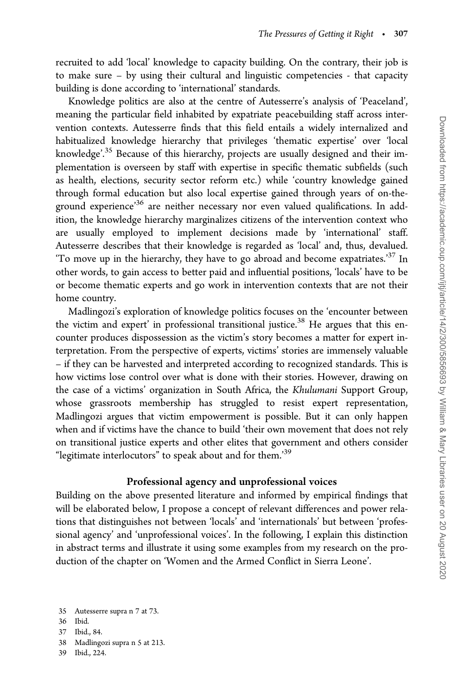recruited to add 'local' knowledge to capacity building. On the contrary, their job is to make sure – by using their cultural and linguistic competencies - that capacity building is done according to 'international' standards.

Knowledge politics are also at the centre of Autesserre's analysis of 'Peaceland', meaning the particular field inhabited by expatriate peacebuilding staff across intervention contexts. Autesserre finds that this field entails a widely internalized and habitualized knowledge hierarchy that privileges 'thematic expertise' over 'local knowledge'.<sup>35</sup> Because of this hierarchy, projects are usually designed and their implementation is overseen by staff with expertise in specific thematic subfields (such as health, elections, security sector reform etc.) while 'country knowledge gained through formal education but also local expertise gained through years of on-theground experience'36 are neither necessary nor even valued qualifications. In addition, the knowledge hierarchy marginalizes citizens of the intervention context who are usually employed to implement decisions made by 'international' staff. Autesserre describes that their knowledge is regarded as 'local' and, thus, devalued. To move up in the hierarchy, they have to go abroad and become expatriates.<sup>37</sup> In other words, to gain access to better paid and influential positions, 'locals' have to be or become thematic experts and go work in intervention contexts that are not their home country.

Madlingozi's exploration of knowledge politics focuses on the 'encounter between the victim and expert' in professional transitional justice.<sup>38</sup> He argues that this encounter produces dispossession as the victim's story becomes a matter for expert interpretation. From the perspective of experts, victims' stories are immensely valuable – if they can be harvested and interpreted according to recognized standards. This is how victims lose control over what is done with their stories. However, drawing on the case of a victims' organization in South Africa, the Khulumani Support Group, whose grassroots membership has struggled to resist expert representation, Madlingozi argues that victim empowerment is possible. But it can only happen when and if victims have the chance to build 'their own movement that does not rely on transitional justice experts and other elites that government and others consider "legitimate interlocutors" to speak about and for them.'39

## Professional agency and unprofessional voices

Building on the above presented literature and informed by empirical findings that will be elaborated below, I propose a concept of relevant differences and power relations that distinguishes not between 'locals' and 'internationals' but between 'professional agency' and 'unprofessional voices'. In the following, I explain this distinction in abstract terms and illustrate it using some examples from my research on the production of the chapter on 'Women and the Armed Conflict in Sierra Leone'.

- 37 Ibid., 84.
- 38 Madlingozi supra n 5 at 213.
- 39 Ibid., 224.

<sup>35</sup> Autesserre supra n 7 at 73.

<sup>36</sup> Ibid.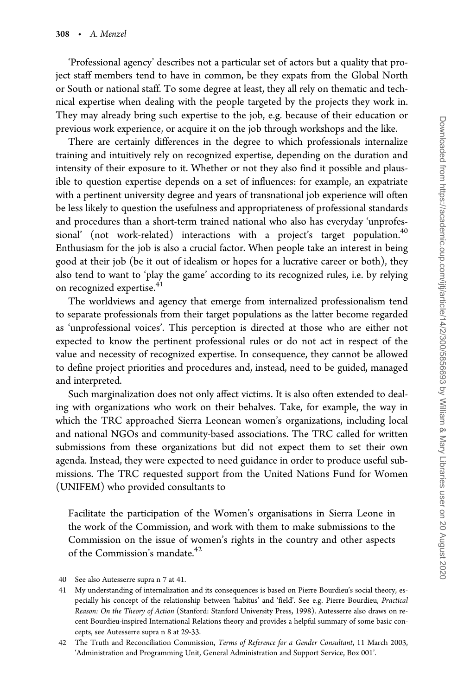'Professional agency' describes not a particular set of actors but a quality that project staff members tend to have in common, be they expats from the Global North or South or national staff. To some degree at least, they all rely on thematic and technical expertise when dealing with the people targeted by the projects they work in. They may already bring such expertise to the job, e.g. because of their education or previous work experience, or acquire it on the job through workshops and the like.

There are certainly differences in the degree to which professionals internalize training and intuitively rely on recognized expertise, depending on the duration and intensity of their exposure to it. Whether or not they also find it possible and plausible to question expertise depends on a set of influences: for example, an expatriate with a pertinent university degree and years of transnational job experience will often be less likely to question the usefulness and appropriateness of professional standards and procedures than a short-term trained national who also has everyday 'unprofessional' (not work-related) interactions with a project's target population.<sup>40</sup> Enthusiasm for the job is also a crucial factor. When people take an interest in being good at their job (be it out of idealism or hopes for a lucrative career or both), they also tend to want to 'play the game' according to its recognized rules, i.e. by relying on recognized expertise.<sup>41</sup>

The worldviews and agency that emerge from internalized professionalism tend to separate professionals from their target populations as the latter become regarded as 'unprofessional voices'. This perception is directed at those who are either not expected to know the pertinent professional rules or do not act in respect of the value and necessity of recognized expertise. In consequence, they cannot be allowed to define project priorities and procedures and, instead, need to be guided, managed and interpreted.

Such marginalization does not only affect victims. It is also often extended to dealing with organizations who work on their behalves. Take, for example, the way in which the TRC approached Sierra Leonean women's organizations, including local and national NGOs and community-based associations. The TRC called for written submissions from these organizations but did not expect them to set their own agenda. Instead, they were expected to need guidance in order to produce useful submissions. The TRC requested support from the United Nations Fund for Women (UNIFEM) who provided consultants to

Facilitate the participation of the Women's organisations in Sierra Leone in the work of the Commission, and work with them to make submissions to the Commission on the issue of women's rights in the country and other aspects of the Commission's mandate.<sup>42</sup>

<sup>40</sup> See also Autesserre supra n 7 at 41.

<sup>41</sup> My understanding of internalization and its consequences is based on Pierre Bourdieu's social theory, especially his concept of the relationship between 'habitus' and 'field'. See e.g. Pierre Bourdieu, Practical Reason: On the Theory of Action (Stanford: Stanford University Press, 1998). Autesserre also draws on recent Bourdieu-inspired International Relations theory and provides a helpful summary of some basic concepts, see Autesserre supra n 8 at 29-33.

<sup>42</sup> The Truth and Reconciliation Commission, Terms of Reference for a Gender Consultant, 11 March 2003, 'Administration and Programming Unit, General Administration and Support Service, Box 001'.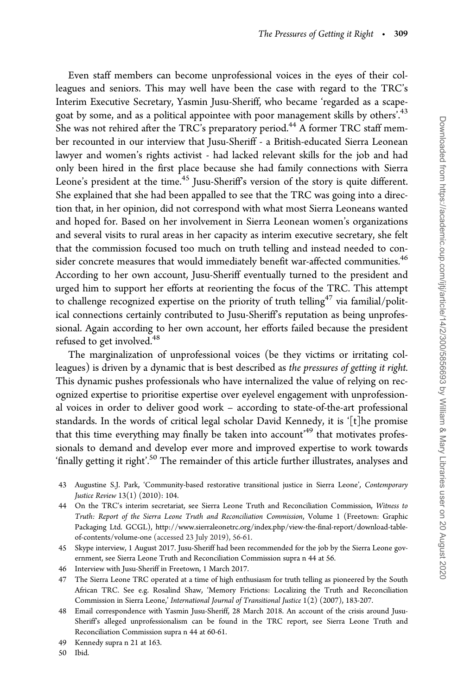Even staff members can become unprofessional voices in the eyes of their colleagues and seniors. This may well have been the case with regard to the TRC's Interim Executive Secretary, Yasmin Jusu-Sheriff, who became 'regarded as a scapegoat by some, and as a political appointee with poor management skills by others'.<sup>43</sup> She was not rehired after the TRC's preparatory period.<sup>44</sup> A former TRC staff member recounted in our interview that Jusu-Sheriff - a British-educated Sierra Leonean lawyer and women's rights activist - had lacked relevant skills for the job and had only been hired in the first place because she had family connections with Sierra Leone's president at the time.<sup>45</sup> Jusu-Sheriff's version of the story is quite different. She explained that she had been appalled to see that the TRC was going into a direction that, in her opinion, did not correspond with what most Sierra Leoneans wanted and hoped for. Based on her involvement in Sierra Leonean women's organizations and several visits to rural areas in her capacity as interim executive secretary, she felt that the commission focused too much on truth telling and instead needed to consider concrete measures that would immediately benefit war-affected communities.<sup>46</sup> According to her own account, Jusu-Sheriff eventually turned to the president and urged him to support her efforts at reorienting the focus of the TRC. This attempt to challenge recognized expertise on the priority of truth telling<sup>47</sup> via familial/political connections certainly contributed to Jusu-Sheriff's reputation as being unprofessional. Again according to her own account, her efforts failed because the president refused to get involved.<sup>48</sup>

The marginalization of unprofessional voices (be they victims or irritating colleagues) is driven by a dynamic that is best described as the pressures of getting it right. This dynamic pushes professionals who have internalized the value of relying on recognized expertise to prioritise expertise over eyelevel engagement with unprofessional voices in order to deliver good work – according to state-of-the-art professional standards. In the words of critical legal scholar David Kennedy, it is '[t]he promise that this time everything may finally be taken into account'<sup>49</sup> that motivates professionals to demand and develop ever more and improved expertise to work towards 'finally getting it right'.50 The remainder of this article further illustrates, analyses and

- 43 Augustine S.J. Park, 'Community-based restorative transitional justice in Sierra Leone', Contemporary Justice Review 13(1) (2010): 104.
- 44 On the TRC's interim secretariat, see Sierra Leone Truth and Reconciliation Commission, Witness to Truth: Report of the Sierra Leone Truth and Reconciliation Commission, Volume 1 (Freetown: Graphic Packaging Ltd. GCGL), [http://www.sierraleonetrc.org/index.php/view-the-final-report/download-table](http://www.sierraleonetrc.org/index.php/view-the-final-report/download-table-of-contents/volume-one)[of-contents/volume-one](http://www.sierraleonetrc.org/index.php/view-the-final-report/download-table-of-contents/volume-one) (accessed 23 July 2019), 56-61.
- 45 Skype interview, 1 August 2017. Jusu-Sheriff had been recommended for the job by the Sierra Leone government, see Sierra Leone Truth and Reconciliation Commission supra n 44 at 56.
- 46 Interview with Jusu-Sheriff in Freetown, 1 March 2017.
- 47 The Sierra Leone TRC operated at a time of high enthusiasm for truth telling as pioneered by the South African TRC. See e.g. Rosalind Shaw, 'Memory Frictions: Localizing the Truth and Reconciliation Commission in Sierra Leone,' International Journal of Transitional Justice 1(2) (2007), 183-207.
- 48 Email correspondence with Yasmin Jusu-Sheriff, 28 March 2018. An account of the crisis around Jusu-Sheriff's alleged unprofessionalism can be found in the TRC report, see Sierra Leone Truth and Reconciliation Commission supra n 44 at 60-61.
- 49 Kennedy supra n 21 at 163.
- 50 Ibid.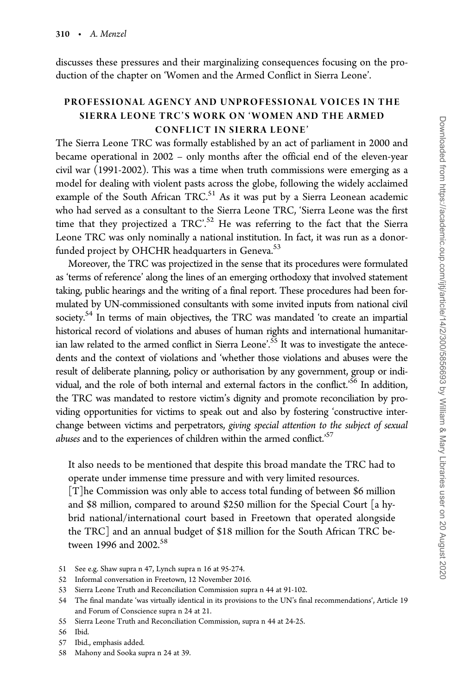discusses these pressures and their marginalizing consequences focusing on the production of the chapter on 'Women and the Armed Conflict in Sierra Leone'.

## PROFESSIONAL AGENCY AND UNPROFESSIONAL VOICES IN THE SIERRA LEONE TRC'S WORK ON 'WOMEN AND THE ARMED CONFLICT IN SIERRA LEONE'

The Sierra Leone TRC was formally established by an act of parliament in 2000 and became operational in 2002 – only months after the official end of the eleven-year civil war (1991-2002). This was a time when truth commissions were emerging as a model for dealing with violent pasts across the globe, following the widely acclaimed example of the South African TRC.<sup>51</sup> As it was put by a Sierra Leonean academic who had served as a consultant to the Sierra Leone TRC, 'Sierra Leone was the first time that they projectized a TRC'.<sup>52</sup> He was referring to the fact that the Sierra Leone TRC was only nominally a national institution. In fact, it was run as a donorfunded project by OHCHR headquarters in Geneva.<sup>53</sup>

Moreover, the TRC was projectized in the sense that its procedures were formulated as 'terms of reference' along the lines of an emerging orthodoxy that involved statement taking, public hearings and the writing of a final report. These procedures had been formulated by UN-commissioned consultants with some invited inputs from national civil society.<sup>54</sup> In terms of main objectives, the TRC was mandated 'to create an impartial historical record of violations and abuses of human rights and international humanitarian law related to the armed conflict in Sierra Leone'.<sup>55</sup> It was to investigate the antecedents and the context of violations and 'whether those violations and abuses were the result of deliberate planning, policy or authorisation by any government, group or individual, and the role of both internal and external factors in the conflict.<sup>56</sup> In addition, the TRC was mandated to restore victim's dignity and promote reconciliation by providing opportunities for victims to speak out and also by fostering 'constructive interchange between victims and perpetrators, giving special attention to the subject of sexual *abuses* and to the experiences of children within the armed conflict.<sup>57</sup>

It also needs to be mentioned that despite this broad mandate the TRC had to operate under immense time pressure and with very limited resources.

[T]he Commission was only able to access total funding of between \$6 million and \$8 million, compared to around \$250 million for the Special Court [a hybrid national/international court based in Freetown that operated alongside the TRC] and an annual budget of \$18 million for the South African TRC between 1996 and 2002.<sup>58</sup>

55 Sierra Leone Truth and Reconciliation Commission, supra n 44 at 24-25.

- 57 Ibid., emphasis added.
- 58 Mahony and Sooka supra n 24 at 39.

<sup>51</sup> See e.g. Shaw supra n 47, Lynch supra n 16 at 95-274.

<sup>52</sup> Informal conversation in Freetown, 12 November 2016.

<sup>53</sup> Sierra Leone Truth and Reconciliation Commission supra n 44 at 91-102.

<sup>54</sup> The final mandate 'was virtually identical in its provisions to the UN's final recommendations', Article 19 and Forum of Conscience supra n 24 at 21.

<sup>56</sup> Ibid.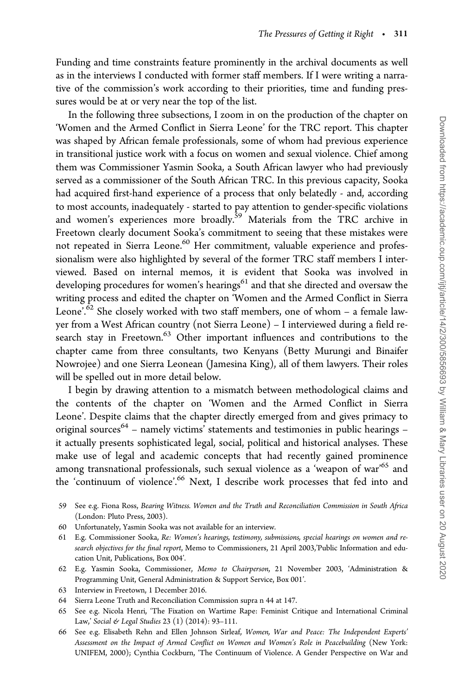Funding and time constraints feature prominently in the archival documents as well as in the interviews I conducted with former staff members. If I were writing a narrative of the commission's work according to their priorities, time and funding pressures would be at or very near the top of the list.

In the following three subsections, I zoom in on the production of the chapter on 'Women and the Armed Conflict in Sierra Leone' for the TRC report. This chapter was shaped by African female professionals, some of whom had previous experience in transitional justice work with a focus on women and sexual violence. Chief among them was Commissioner Yasmin Sooka, a South African lawyer who had previously served as a commissioner of the South African TRC. In this previous capacity, Sooka had acquired first-hand experience of a process that only belatedly - and, according to most accounts, inadequately - started to pay attention to gender-specific violations and women's experiences more broadly.<sup>59</sup> Materials from the TRC archive in Freetown clearly document Sooka's commitment to seeing that these mistakes were not repeated in Sierra Leone.<sup>60</sup> Her commitment, valuable experience and professionalism were also highlighted by several of the former TRC staff members I interviewed. Based on internal memos, it is evident that Sooka was involved in developing procedures for women's hearings<sup>61</sup> and that she directed and oversaw the writing process and edited the chapter on 'Women and the Armed Conflict in Sierra Leone'.<sup>62</sup> She closely worked with two staff members, one of whom  $-$  a female lawyer from a West African country (not Sierra Leone) – I interviewed during a field research stay in Freetown.<sup>63</sup> Other important influences and contributions to the chapter came from three consultants, two Kenyans (Betty Murungi and Binaifer Nowrojee) and one Sierra Leonean (Jamesina King), all of them lawyers. Their roles will be spelled out in more detail below.

I begin by drawing attention to a mismatch between methodological claims and the contents of the chapter on 'Women and the Armed Conflict in Sierra Leone'. Despite claims that the chapter directly emerged from and gives primacy to original sources<sup>64</sup> – namely victims' statements and testimonies in public hearings – it actually presents sophisticated legal, social, political and historical analyses. These make use of legal and academic concepts that had recently gained prominence among transnational professionals, such sexual violence as a 'weapon of war'65 and the 'continuum of violence'.<sup>66</sup> Next, I describe work processes that fed into and

- 59 See e.g. Fiona Ross, Bearing Witness. Women and the Truth and Reconciliation Commission in South Africa (London: Pluto Press, 2003).
- 60 Unfortunately, Yasmin Sooka was not available for an interview.
- 61 E.g. Commissioner Sooka, Re: Women's hearings, testimony, submissions, special hearings on women and research objectives for the final report, Memo to Commissioners, 21 April 2003,'Public Information and education Unit, Publications, Box 004'.
- 62 E.g. Yasmin Sooka, Commissioner, Memo to Chairperson, 21 November 2003, 'Administration & Programming Unit, General Administration & Support Service, Box 001'.
- 63 Interview in Freetown, 1 December 2016.
- 64 Sierra Leone Truth and Reconciliation Commission supra n 44 at 147.
- 65 See e.g. Nicola Henri, 'The Fixation on Wartime Rape: Feminist Critique and International Criminal Law,' Social & Legal Studies 23 (1) (2014): 93-111.
- 66 See e.g. Elisabeth Rehn and Ellen Johnson Sirleaf, Women, War and Peace: The Independent Experts' Assessment on the Impact of Armed Conflict on Women and Women's Role in Peacebuilding (New York: UNIFEM, 2000); Cynthia Cockburn, 'The Continuum of Violence. A Gender Perspective on War and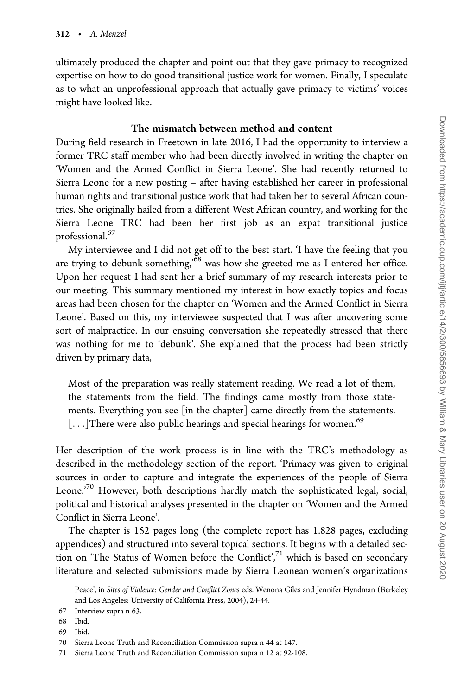ultimately produced the chapter and point out that they gave primacy to recognized expertise on how to do good transitional justice work for women. Finally, I speculate as to what an unprofessional approach that actually gave primacy to victims' voices might have looked like.

## The mismatch between method and content

During field research in Freetown in late 2016, I had the opportunity to interview a former TRC staff member who had been directly involved in writing the chapter on 'Women and the Armed Conflict in Sierra Leone'. She had recently returned to Sierra Leone for a new posting – after having established her career in professional human rights and transitional justice work that had taken her to several African countries. She originally hailed from a different West African country, and working for the Sierra Leone TRC had been her first job as an expat transitional justice professional.<sup>67</sup>

My interviewee and I did not get off to the best start. 'I have the feeling that you are trying to debunk something,<sup>'68</sup> was how she greeted me as I entered her office. Upon her request I had sent her a brief summary of my research interests prior to our meeting. This summary mentioned my interest in how exactly topics and focus areas had been chosen for the chapter on 'Women and the Armed Conflict in Sierra Leone'. Based on this, my interviewee suspected that I was after uncovering some sort of malpractice. In our ensuing conversation she repeatedly stressed that there was nothing for me to 'debunk'. She explained that the process had been strictly driven by primary data,

Most of the preparation was really statement reading. We read a lot of them, the statements from the field. The findings came mostly from those statements. Everything you see [in the chapter] came directly from the statements.  $[...]$ There were also public hearings and special hearings for women.<sup>69</sup>

Her description of the work process is in line with the TRC's methodology as described in the methodology section of the report. 'Primacy was given to original sources in order to capture and integrate the experiences of the people of Sierra Leone.<sup>'70</sup> However, both descriptions hardly match the sophisticated legal, social, political and historical analyses presented in the chapter on 'Women and the Armed Conflict in Sierra Leone'.

The chapter is 152 pages long (the complete report has 1.828 pages, excluding appendices) and structured into several topical sections. It begins with a detailed section on 'The Status of Women before the Conflict', $71$  which is based on secondary literature and selected submissions made by Sierra Leonean women's organizations

Peace', in Sites of Violence: Gender and Conflict Zones eds. Wenona Giles and Jennifer Hyndman (Berkeley and Los Angeles: University of California Press, 2004), 24-44.

<sup>67</sup> Interview supra n 63.

<sup>68</sup> Ibid.

<sup>69</sup> Ibid.

<sup>70</sup> Sierra Leone Truth and Reconciliation Commission supra n 44 at 147.

<sup>71</sup> Sierra Leone Truth and Reconciliation Commission supra n 12 at 92-108.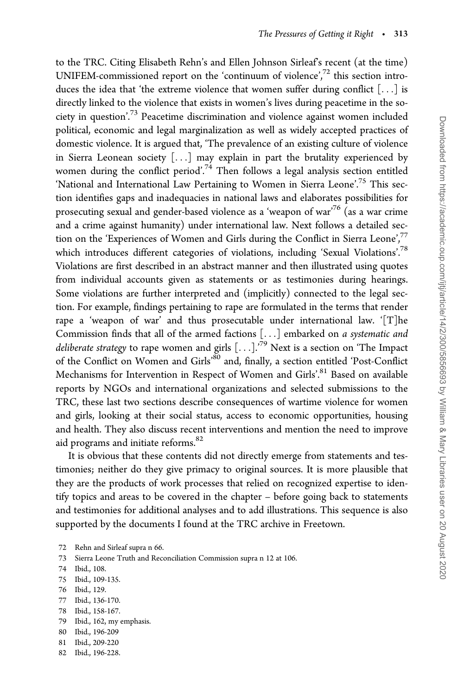to the TRC. Citing Elisabeth Rehn's and Ellen Johnson Sirleaf's recent (at the time) UNIFEM-commissioned report on the 'continuum of violence', $72$  this section introduces the idea that 'the extreme violence that women suffer during conflict  $[\dots]$  is directly linked to the violence that exists in women's lives during peacetime in the society in question'.<sup>73</sup> Peacetime discrimination and violence against women included political, economic and legal marginalization as well as widely accepted practices of domestic violence. It is argued that, 'The prevalence of an existing culture of violence in Sierra Leonean society [...] may explain in part the brutality experienced by women during the conflict period'.<sup>74</sup> Then follows a legal analysis section entitled 'National and International Law Pertaining to Women in Sierra Leone'.<sup>75</sup> This section identifies gaps and inadequacies in national laws and elaborates possibilities for prosecuting sexual and gender-based violence as a 'weapon of war'<sup>76</sup> (as a war crime and a crime against humanity) under international law. Next follows a detailed section on the 'Experiences of Women and Girls during the Conflict in Sierra Leone',<sup>77</sup> which introduces different categories of violations, including 'Sexual Violations'.78 Violations are first described in an abstract manner and then illustrated using quotes from individual accounts given as statements or as testimonies during hearings. Some violations are further interpreted and (implicitly) connected to the legal section. For example, findings pertaining to rape are formulated in the terms that render rape a 'weapon of war' and thus prosecutable under international law. '[T]he Commission finds that all of the armed factions [...] embarked on a systematic and deliberate strategy to rape women and girls  $[...]$ .<sup>79</sup> Next is a section on 'The Impact of the Conflict on Women and Girls'<sup>80</sup> and, finally, a section entitled 'Post-Conflict Mechanisms for Intervention in Respect of Women and Girls'.<sup>81</sup> Based on available reports by NGOs and international organizations and selected submissions to the TRC, these last two sections describe consequences of wartime violence for women and girls, looking at their social status, access to economic opportunities, housing and health. They also discuss recent interventions and mention the need to improve aid programs and initiate reforms.82

It is obvious that these contents did not directly emerge from statements and testimonies; neither do they give primacy to original sources. It is more plausible that they are the products of work processes that relied on recognized expertise to identify topics and areas to be covered in the chapter – before going back to statements and testimonies for additional analyses and to add illustrations. This sequence is also supported by the documents I found at the TRC archive in Freetown.

- 72 Rehn and Sirleaf supra n 66.
- 73 Sierra Leone Truth and Reconciliation Commission supra n 12 at 106.
- 74 Ibid., 108.
- 75 Ibid., 109-135.
- 76 Ibid., 129.
- 77 Ibid., 136-170.
- 78 Ibid., 158-167.
- 79 Ibid., 162, my emphasis.
- 80 Ibid., 196-209
- 81 Ibid., 209-220
- 82 Ibid., 196-228.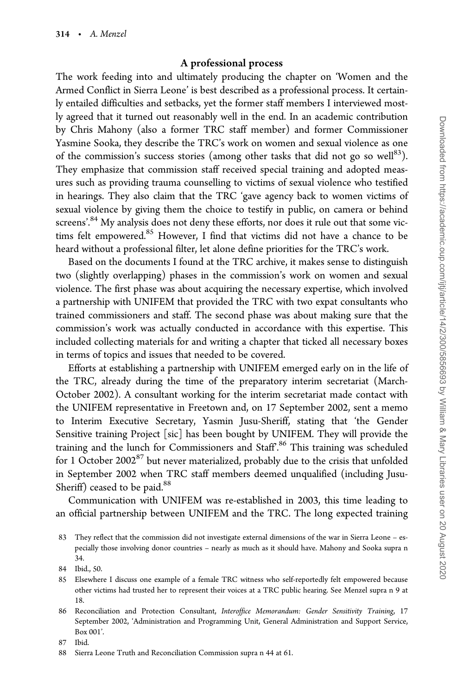## A professional process

The work feeding into and ultimately producing the chapter on 'Women and the Armed Conflict in Sierra Leone' is best described as a professional process. It certainly entailed difficulties and setbacks, yet the former staff members I interviewed mostly agreed that it turned out reasonably well in the end. In an academic contribution by Chris Mahony (also a former TRC staff member) and former Commissioner Yasmine Sooka, they describe the TRC's work on women and sexual violence as one of the commission's success stories (among other tasks that did not go so well<sup>83</sup>). They emphasize that commission staff received special training and adopted measures such as providing trauma counselling to victims of sexual violence who testified in hearings. They also claim that the TRC 'gave agency back to women victims of sexual violence by giving them the choice to testify in public, on camera or behind screens'.<sup>84</sup> My analysis does not deny these efforts, nor does it rule out that some victims felt empowered. $85$  However, I find that victims did not have a chance to be heard without a professional filter, let alone define priorities for the TRC's work.

Based on the documents I found at the TRC archive, it makes sense to distinguish two (slightly overlapping) phases in the commission's work on women and sexual violence. The first phase was about acquiring the necessary expertise, which involved a partnership with UNIFEM that provided the TRC with two expat consultants who trained commissioners and staff. The second phase was about making sure that the commission's work was actually conducted in accordance with this expertise. This included collecting materials for and writing a chapter that ticked all necessary boxes in terms of topics and issues that needed to be covered.

Efforts at establishing a partnership with UNIFEM emerged early on in the life of the TRC, already during the time of the preparatory interim secretariat (March-October 2002). A consultant working for the interim secretariat made contact with the UNIFEM representative in Freetown and, on 17 September 2002, sent a memo to Interim Executive Secretary, Yasmin Jusu-Sheriff, stating that 'the Gender Sensitive training Project [sic] has been bought by UNIFEM. They will provide the training and the lunch for Commissioners and Staff.<sup>86</sup> This training was scheduled for 1 October 2002 $^{87}$  but never materialized, probably due to the crisis that unfolded in September 2002 when TRC staff members deemed unqualified (including Jusu-Sheriff) ceased to be paid.<sup>88</sup>

Communication with UNIFEM was re-established in 2003, this time leading to an official partnership between UNIFEM and the TRC. The long expected training

- 85 Elsewhere I discuss one example of a female TRC witness who self-reportedly felt empowered because other victims had trusted her to represent their voices at a TRC public hearing. See Menzel supra n 9 at 18.
- 86 Reconciliation and Protection Consultant, Interoffice Memorandum: Gender Sensitivity Training, 17 September 2002, 'Administration and Programming Unit, General Administration and Support Service, Box 001'.

87 Ibid.

<sup>83</sup> They reflect that the commission did not investigate external dimensions of the war in Sierra Leone – especially those involving donor countries – nearly as much as it should have. Mahony and Sooka supra n 34.

<sup>84</sup> Ibid., 50.

<sup>88</sup> Sierra Leone Truth and Reconciliation Commission supra n 44 at 61.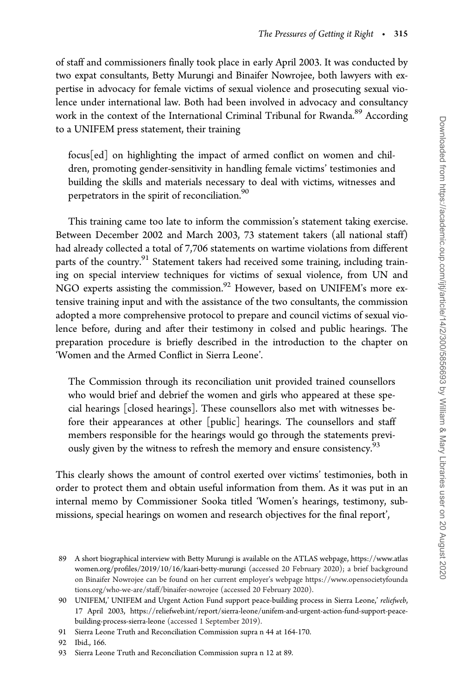of staff and commissioners finally took place in early April 2003. It was conducted by two expat consultants, Betty Murungi and Binaifer Nowrojee, both lawyers with expertise in advocacy for female victims of sexual violence and prosecuting sexual violence under international law. Both had been involved in advocacy and consultancy work in the context of the International Criminal Tribunal for Rwanda.<sup>89</sup> According to a UNIFEM press statement, their training

focus[ed] on highlighting the impact of armed conflict on women and children, promoting gender-sensitivity in handling female victims' testimonies and building the skills and materials necessary to deal with victims, witnesses and perpetrators in the spirit of reconciliation.<sup>90</sup>

This training came too late to inform the commission's statement taking exercise. Between December 2002 and March 2003, 73 statement takers (all national staff) had already collected a total of 7,706 statements on wartime violations from different parts of the country.<sup>91</sup> Statement takers had received some training, including training on special interview techniques for victims of sexual violence, from UN and NGO experts assisting the commission.<sup>92</sup> However, based on UNIFEM's more extensive training input and with the assistance of the two consultants, the commission adopted a more comprehensive protocol to prepare and council victims of sexual violence before, during and after their testimony in colsed and public hearings. The preparation procedure is briefly described in the introduction to the chapter on 'Women and the Armed Conflict in Sierra Leone'.

The Commission through its reconciliation unit provided trained counsellors who would brief and debrief the women and girls who appeared at these special hearings [closed hearings]. These counsellors also met with witnesses before their appearances at other [public] hearings. The counsellors and staff members responsible for the hearings would go through the statements previously given by the witness to refresh the memory and ensure consistency.<sup>93</sup>

This clearly shows the amount of control exerted over victims' testimonies, both in order to protect them and obtain useful information from them. As it was put in an internal memo by Commissioner Sooka titled 'Women's hearings, testimony, submissions, special hearings on women and research objectives for the final report',

92 Ibid., 166.

<sup>89</sup> A short biographical interview with Betty Murungi is available on the ATLAS webpage, [https://www.atlas](https://www.atlaswomen.org/profiles/2019/10/16/kaari-betty-murungi) [women.org/profiles/2019/10/16/kaari-betty-murungi](https://www.atlaswomen.org/profiles/2019/10/16/kaari-betty-murungi) (accessed 20 February 2020); a brief background on Binaifer Nowrojee can be found on her current employer's webpage [https://www.opensocietyfounda](https://www.opensocietyfoundations.org/who-we-are/staff/binaifer-nowrojee) [tions.org/who-we-are/staff/binaifer-nowrojee](https://www.opensocietyfoundations.org/who-we-are/staff/binaifer-nowrojee) (accessed 20 February 2020).

<sup>90</sup> UNIFEM,' UNIFEM and Urgent Action Fund support peace-building process in Sierra Leone,' reliefweb, 17 April 2003, [https://reliefweb.int/report/sierra-leone/unifem-and-urgent-action-fund-support-peace](https://reliefweb.int/report/sierra-leone/unifem-and-urgent-action-fund-support-peace-building-process-sierra-leone)[building-process-sierra-leone](https://reliefweb.int/report/sierra-leone/unifem-and-urgent-action-fund-support-peace-building-process-sierra-leone) (accessed 1 September 2019).

<sup>91</sup> Sierra Leone Truth and Reconciliation Commission supra n 44 at 164-170.

<sup>93</sup> Sierra Leone Truth and Reconciliation Commission supra n 12 at 89.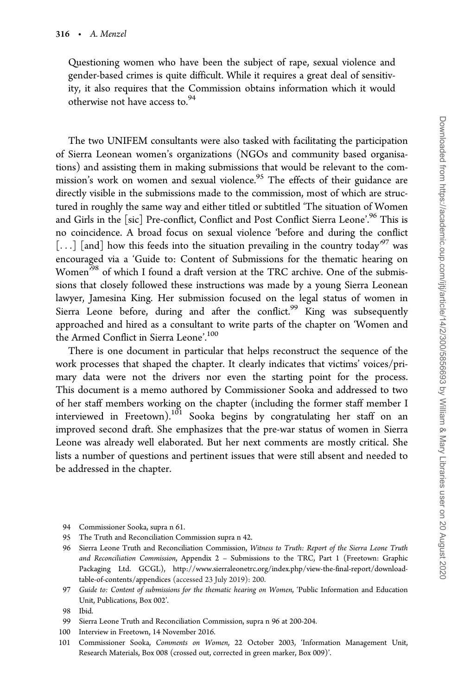Questioning women who have been the subject of rape, sexual violence and gender-based crimes is quite difficult. While it requires a great deal of sensitivity, it also requires that the Commission obtains information which it would otherwise not have access to.<sup>94</sup>

The two UNIFEM consultants were also tasked with facilitating the participation of Sierra Leonean women's organizations (NGOs and community based organisations) and assisting them in making submissions that would be relevant to the commission's work on women and sexual violence.<sup>95</sup> The effects of their guidance are directly visible in the submissions made to the commission, most of which are structured in roughly the same way and either titled or subtitled 'The situation of Women and Girls in the [sic] Pre-conflict, Conflict and Post Conflict Sierra Leone'.<sup>96</sup> This is no coincidence. A broad focus on sexual violence 'before and during the conflict [...] [and] how this feeds into the situation prevailing in the country today<sup>97</sup> was encouraged via a 'Guide to: Content of Submissions for the thematic hearing on Women<sup>'98</sup> of which I found a draft version at the TRC archive. One of the submissions that closely followed these instructions was made by a young Sierra Leonean lawyer, Jamesina King. Her submission focused on the legal status of women in Sierra Leone before, during and after the conflict.<sup>99</sup> King was subsequently approached and hired as a consultant to write parts of the chapter on 'Women and the Armed Conflict in Sierra Leone'.<sup>100</sup>

There is one document in particular that helps reconstruct the sequence of the work processes that shaped the chapter. It clearly indicates that victims' voices/primary data were not the drivers nor even the starting point for the process. This document is a memo authored by Commissioner Sooka and addressed to two of her staff members working on the chapter (including the former staff member I interviewed in Freetown).101 Sooka begins by congratulating her staff on an improved second draft. She emphasizes that the pre-war status of women in Sierra Leone was already well elaborated. But her next comments are mostly critical. She lists a number of questions and pertinent issues that were still absent and needed to be addressed in the chapter.

- 94 Commissioner Sooka, supra n 61.
- 95 The Truth and Reconciliation Commission supra n 42.
- 96 Sierra Leone Truth and Reconciliation Commission, Witness to Truth: Report of the Sierra Leone Truth and Reconciliation Commission, Appendix 2 – Submissions to the TRC, Part 1 (Freetown: Graphic Packaging Ltd. GCGL), [http://www.sierraleonetrc.org/index.php/view-the-final-report/download](http://www.sierraleonetrc.org/index.php/view-the-final-report/download-table-of-contents/appendices)[table-of-contents/appendices](http://www.sierraleonetrc.org/index.php/view-the-final-report/download-table-of-contents/appendices) (accessed 23 July 2019): 200.
- 97 Guide to: Content of submissions for the thematic hearing on Women, 'Public Information and Education Unit, Publications, Box 002'.

- 99 Sierra Leone Truth and Reconciliation Commission, supra n 96 at 200-204.
- 100 Interview in Freetown, 14 November 2016.
- 101 Commissioner Sooka, Comments on Women, 22 October 2003, 'Information Management Unit, Research Materials, Box 008 (crossed out, corrected in green marker, Box 009)'.

<sup>98</sup> Ibid.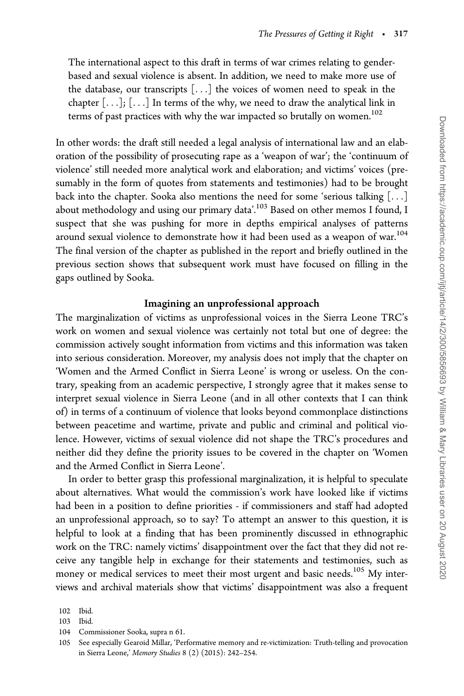The international aspect to this draft in terms of war crimes relating to genderbased and sexual violence is absent. In addition, we need to make more use of the database, our transcripts [...] the voices of women need to speak in the chapter  $[\ldots]$ ;  $[\ldots]$  In terms of the why, we need to draw the analytical link in terms of past practices with why the war impacted so brutally on women.<sup>102</sup>

In other words: the draft still needed a legal analysis of international law and an elaboration of the possibility of prosecuting rape as a 'weapon of war'; the 'continuum of violence' still needed more analytical work and elaboration; and victims' voices (presumably in the form of quotes from statements and testimonies) had to be brought back into the chapter. Sooka also mentions the need for some 'serious talking  $[\ldots]$ about methodology and using our primary data'.<sup>103</sup> Based on other memos I found, I suspect that she was pushing for more in depths empirical analyses of patterns around sexual violence to demonstrate how it had been used as a weapon of war.<sup>104</sup> The final version of the chapter as published in the report and briefly outlined in the previous section shows that subsequent work must have focused on filling in the gaps outlined by Sooka.

## Imagining an unprofessional approach

The marginalization of victims as unprofessional voices in the Sierra Leone TRC's work on women and sexual violence was certainly not total but one of degree: the commission actively sought information from victims and this information was taken into serious consideration. Moreover, my analysis does not imply that the chapter on 'Women and the Armed Conflict in Sierra Leone' is wrong or useless. On the contrary, speaking from an academic perspective, I strongly agree that it makes sense to interpret sexual violence in Sierra Leone (and in all other contexts that I can think of) in terms of a continuum of violence that looks beyond commonplace distinctions between peacetime and wartime, private and public and criminal and political violence. However, victims of sexual violence did not shape the TRC's procedures and neither did they define the priority issues to be covered in the chapter on 'Women and the Armed Conflict in Sierra Leone'.

In order to better grasp this professional marginalization, it is helpful to speculate about alternatives. What would the commission's work have looked like if victims had been in a position to define priorities - if commissioners and staff had adopted an unprofessional approach, so to say? To attempt an answer to this question, it is helpful to look at a finding that has been prominently discussed in ethnographic work on the TRC: namely victims' disappointment over the fact that they did not receive any tangible help in exchange for their statements and testimonies, such as money or medical services to meet their most urgent and basic needs.<sup>105</sup> My interviews and archival materials show that victims' disappointment was also a frequent

<sup>102</sup> Ibid.

<sup>103</sup> Ibid.

<sup>104</sup> Commissioner Sooka, supra n 61.

<sup>105</sup> See especially Gearoid Millar, 'Performative memory and re-victimization: Truth-telling and provocation in Sierra Leone,' Memory Studies 8 (2) (2015): 242–254.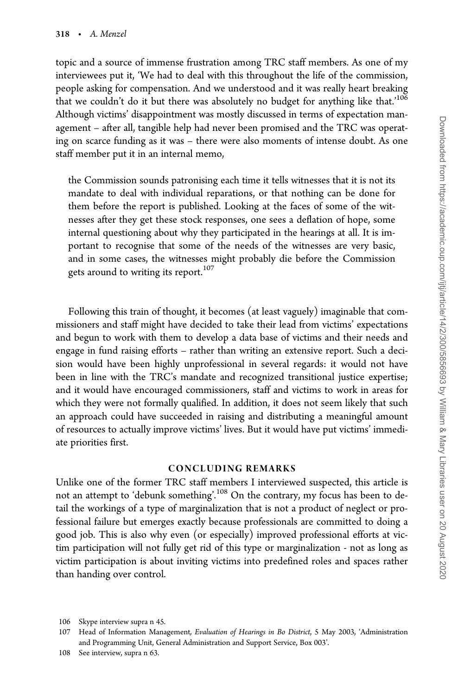topic and a source of immense frustration among TRC staff members. As one of my interviewees put it, 'We had to deal with this throughout the life of the commission, people asking for compensation. And we understood and it was really heart breaking that we couldn't do it but there was absolutely no budget for anything like that.<sup>'106</sup> Although victims' disappointment was mostly discussed in terms of expectation management – after all, tangible help had never been promised and the TRC was operating on scarce funding as it was – there were also moments of intense doubt. As one staff member put it in an internal memo,

the Commission sounds patronising each time it tells witnesses that it is not its mandate to deal with individual reparations, or that nothing can be done for them before the report is published. Looking at the faces of some of the witnesses after they get these stock responses, one sees a deflation of hope, some internal questioning about why they participated in the hearings at all. It is important to recognise that some of the needs of the witnesses are very basic, and in some cases, the witnesses might probably die before the Commission gets around to writing its report.<sup>107</sup>

Following this train of thought, it becomes (at least vaguely) imaginable that commissioners and staff might have decided to take their lead from victims' expectations and begun to work with them to develop a data base of victims and their needs and engage in fund raising efforts – rather than writing an extensive report. Such a decision would have been highly unprofessional in several regards: it would not have been in line with the TRC's mandate and recognized transitional justice expertise; and it would have encouraged commissioners, staff and victims to work in areas for which they were not formally qualified. In addition, it does not seem likely that such an approach could have succeeded in raising and distributing a meaningful amount of resources to actually improve victims' lives. But it would have put victims' immediate priorities first.

#### CONCLUDING REMARKS

Unlike one of the former TRC staff members I interviewed suspected, this article is not an attempt to 'debunk something'.<sup>108</sup> On the contrary, my focus has been to detail the workings of a type of marginalization that is not a product of neglect or professional failure but emerges exactly because professionals are committed to doing a good job. This is also why even (or especially) improved professional efforts at victim participation will not fully get rid of this type or marginalization - not as long as victim participation is about inviting victims into predefined roles and spaces rather than handing over control.

<sup>106</sup> Skype interview supra n 45.

<sup>107</sup> Head of Information Management, Evaluation of Hearings in Bo District, 5 May 2003, 'Administration and Programming Unit, General Administration and Support Service, Box 003'.

<sup>108</sup> See interview, supra n 63.